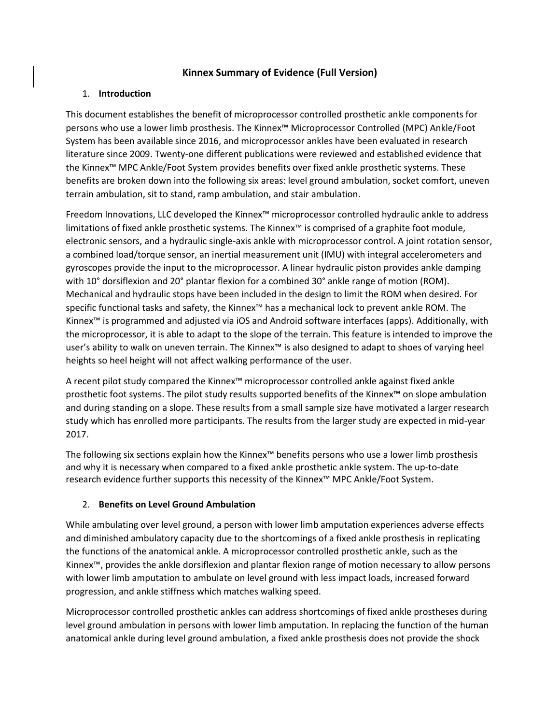## **Kinnex Summary of Evidence (Full Version)**

#### 1. **Introduction**

This document establishes the benefit of microprocessor controlled prosthetic ankle components for persons who use a lower limb prosthesis. The Kinnex™ Microprocessor Controlled (MPC) Ankle/Foot System has been available since 2016, and microprocessor ankles have been evaluated in research literature since 2009. Twenty-one different publications were reviewed and established evidence that the Kinnex™ MPC Ankle/Foot System provides benefits over fixed ankle prosthetic systems. These benefits are broken down into the following six areas: level ground ambulation, socket comfort, uneven terrain ambulation, sit to stand, ramp ambulation, and stair ambulation.

Freedom Innovations, LLC developed the Kinnex™ microprocessor controlled hydraulic ankle to address limitations of fixed ankle prosthetic systems. The Kinnex™ is comprised of a graphite foot module, electronic sensors, and a hydraulic single-axis ankle with microprocessor control. A joint rotation sensor, a combined load/torque sensor, an inertial measurement unit (IMU) with integral accelerometers and gyroscopes provide the input to the microprocessor. A linear hydraulic piston provides ankle damping with 10° dorsiflexion and 20° plantar flexion for a combined 30° ankle range of motion (ROM). Mechanical and hydraulic stops have been included in the design to limit the ROM when desired. For specific functional tasks and safety, the Kinnex™ has a mechanical lock to prevent ankle ROM. The Kinnex™ is programmed and adjusted via iOS and Android software interfaces (apps). Additionally, with the microprocessor, it is able to adapt to the slope of the terrain. This feature is intended to improve the user's ability to walk on uneven terrain. The Kinnex™ is also designed to adapt to shoes of varying heel heights so heel height will not affect walking performance of the user.

A recent pilot study compared the Kinnex™ microprocessor controlled ankle against fixed ankle prosthetic foot systems. The pilot study results supported benefits of the Kinnex™ on slope ambulation and during standing on a slope. These results from a small sample size have motivated a larger research study which has enrolled more participants. The results from the larger study are expected in mid-year 2017.

The following six sections explain how the Kinnex™ benefits persons who use a lower limb prosthesis and why it is necessary when compared to a fixed ankle prosthetic ankle system. The up-to-date research evidence further supports this necessity of the Kinnex™ MPC Ankle/Foot System.

### 2. **Benefits on Level Ground Ambulation**

While ambulating over level ground, a person with lower limb amputation experiences adverse effects and diminished ambulatory capacity due to the shortcomings of a fixed ankle prosthesis in replicating the functions of the anatomical ankle. A microprocessor controlled prosthetic ankle, such as the Kinnex™, provides the ankle dorsiflexion and plantar flexion range of motion necessary to allow persons with lower limb amputation to ambulate on level ground with less impact loads, increased forward progression, and ankle stiffness which matches walking speed.

Microprocessor controlled prosthetic ankles can address shortcomings of fixed ankle prostheses during level ground ambulation in persons with lower limb amputation. In replacing the function of the human anatomical ankle during level ground ambulation, a fixed ankle prosthesis does not provide the shock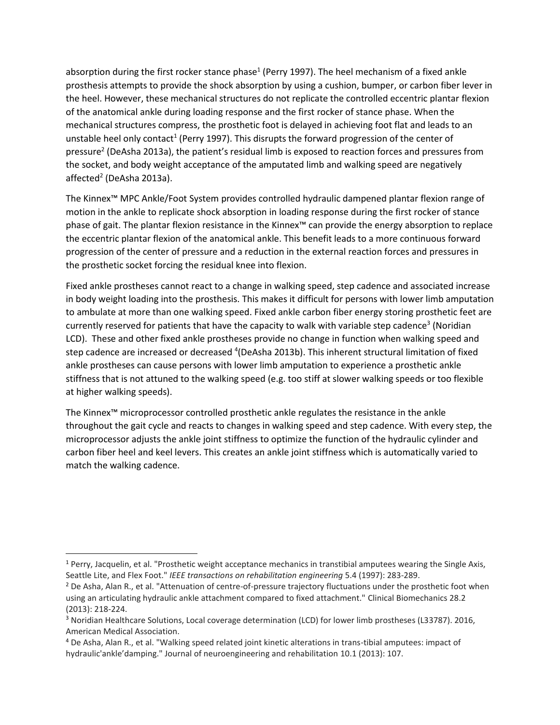<span id="page-1-0"></span>absorption during the first rocker stance phase<sup>1</sup> (Perry 1997). The heel mechanism of a fixed ankle prosthesis attempts to provide the shock absorption by using a cushion, bumper, or carbon fiber lever in the heel. However, these mechanical structures do not replicate the controlled eccentric plantar flexion of the anatomical ankle during loading response and the first rocker of stance phase. When the mechanical structures compress, the prosthetic foot is delayed in achieving foot flat and leads to an unstable heel only contact<sup>[1](#page-1-0)</sup> (Perry 1997). This disrupts the forward progression of the center of pressure<sup>2</sup> (DeAsha 2013a), the patient's residual limb is exposed to reaction forces and pressures from the socket, and body weight acceptance of the amputated limb and walking speed are negatively affecte[d](#page-1-1)<sup>2</sup> (DeAsha 2013a).

<span id="page-1-1"></span>The Kinnex™ MPC Ankle/Foot System provides controlled hydraulic dampened plantar flexion range of motion in the ankle to replicate shock absorption in loading response during the first rocker of stance phase of gait. The plantar flexion resistance in the Kinnex™ can provide the energy absorption to replace the eccentric plantar flexion of the anatomical ankle. This benefit leads to a more continuous forward progression of the center of pressure and a reduction in the external reaction forces and pressures in the prosthetic socket forcing the residual knee into flexion.

Fixed ankle prostheses cannot react to a change in walking speed, step cadence and associated increase in body weight loading into the prosthesis. This makes it difficult for persons with lower limb amputation to ambulate at more than one walking speed. Fixed ankle carbon fiber energy storing prosthetic feet are currently reserved for patients that have the capacity to walk with variable step cadence<sup>3</sup> (Noridian LCD). These and other fixed ankle prostheses provide no change in function when walking speed and step cadence are increased or decreased <sup>4</sup>(DeAsha 2013b). This inherent structural limitation of fixed ankle prostheses can cause persons with lower limb amputation to experience a prosthetic ankle stiffness that is not attuned to the walking speed (e.g. too stiff at slower walking speeds or too flexible at higher walking speeds).

The Kinnex™ microprocessor controlled prosthetic ankle regulates the resistance in the ankle throughout the gait cycle and reacts to changes in walking speed and step cadence. With every step, the microprocessor adjusts the ankle joint stiffness to optimize the function of the hydraulic cylinder and carbon fiber heel and keel levers. This creates an ankle joint stiffness which is automatically varied to match the walking cadence.

 $\overline{\phantom{a}}$ 

<sup>1</sup> Perry, Jacquelin, et al. "Prosthetic weight acceptance mechanics in transtibial amputees wearing the Single Axis, Seattle Lite, and Flex Foot." *IEEE transactions on rehabilitation engineering* 5.4 (1997): 283-289.

<sup>&</sup>lt;sup>2</sup> De Asha, Alan R., et al. "Attenuation of centre-of-pressure trajectory fluctuations under the prosthetic foot when using an articulating hydraulic ankle attachment compared to fixed attachment." Clinical Biomechanics 28.2 (2013): 218-224.

<sup>3</sup> Noridian Healthcare Solutions, Local coverage determination (LCD) for lower limb prostheses (L33787). 2016, American Medical Association.

<sup>4</sup> De Asha, Alan R., et al. "Walking speed related joint kinetic alterations in trans-tibial amputees: impact of hydraulic'ankle'damping." Journal of neuroengineering and rehabilitation 10.1 (2013): 107.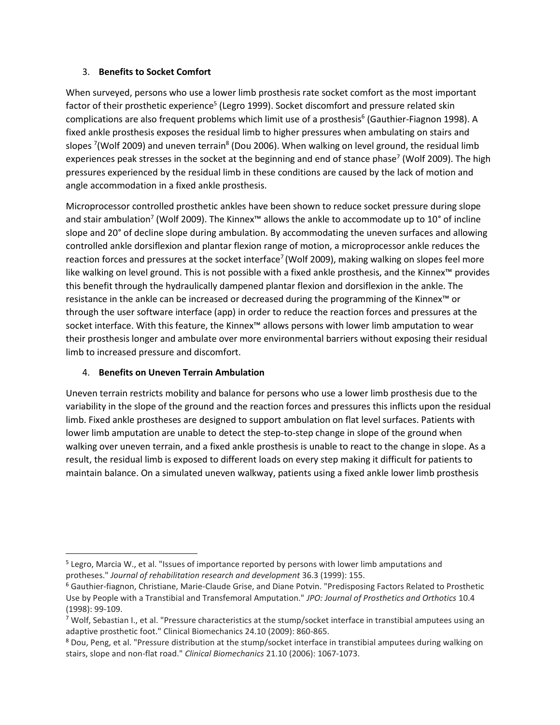#### <span id="page-2-1"></span>3. **Benefits to Socket Comfort**

<span id="page-2-0"></span>When surveyed, persons who use a lower limb prosthesis rate socket comfort as the most important factor of their prosthetic experience<sup>5</sup> (Legro 1999). Socket discomfort and pressure related skin complications are also frequent problems which limit use of a prosthesis<sup>6</sup> (Gauthier-Fiagnon 1998). A fixed ankle prosthesis exposes the residual limb to higher pressures when ambulating on stairs and slopes <sup>7</sup>(Wolf 2009) and uneven terrain<sup>8</sup> (Dou 2006). When walking on level ground, the residual limb experiences peak stresses in the socket at the beginning and end of stance phase<sup>[7](#page-2-0)</sup> (Wolf 2009). The high pressures experienced by the residual limb in these conditions are caused by the lack of motion and angle accommodation in a fixed ankle prosthesis.

Microprocessor controlled prosthetic ankles have been shown to reduce socket pressure during slope a[n](#page-2-0)d stair ambulation<sup>7</sup> (Wolf 2009). The Kinnex™ allows the ankle to accommodate up to 10° of incline slope and 20° of decline slope during ambulation. By accommodating the uneven surfaces and allowing controlled ankle dorsiflexion and plantar flexion range of motion, a microprocessor ankle reduces the r[e](#page-2-0)action forces and pressures at the socket interface<sup>7</sup> (Wolf 2009), making walking on slopes feel more like walking on level ground. This is not possible with a fixed ankle prosthesis, and the Kinnex™ provides this benefit through the hydraulically dampened plantar flexion and dorsiflexion in the ankle. The resistance in the ankle can be increased or decreased during the programming of the Kinnex™ or through the user software interface (app) in order to reduce the reaction forces and pressures at the socket interface. With this feature, the Kinnex™ allows persons with lower limb amputation to wear their prosthesis longer and ambulate over more environmental barriers without exposing their residual limb to increased pressure and discomfort.

### 4. **Benefits on Uneven Terrain Ambulation**

Uneven terrain restricts mobility and balance for persons who use a lower limb prosthesis due to the variability in the slope of the ground and the reaction forces and pressures this inflicts upon the residual limb. Fixed ankle prostheses are designed to support ambulation on flat level surfaces. Patients with lower limb amputation are unable to detect the step-to-step change in slope of the ground when walking over uneven terrain, and a fixed ankle prosthesis is unable to react to the change in slope. As a result, the residual limb is exposed to different loads on every step making it difficult for patients to maintain balance. On a simulated uneven walkway, patients using a fixed ankle lower limb prosthesis

 $\overline{\phantom{a}}$ <sup>5</sup> Legro, Marcia W., et al. "Issues of importance reported by persons with lower limb amputations and protheses." *Journal of rehabilitation research and development* 36.3 (1999): 155.

<sup>6</sup> Gauthier-fiagnon, Christiane, Marie-Claude Grise, and Diane Potvin. "Predisposing Factors Related to Prosthetic Use by People with a Transtibial and Transfemoral Amputation." *JPO: Journal of Prosthetics and Orthotics* 10.4 (1998): 99-109.

 $7$  Wolf, Sebastian I., et al. "Pressure characteristics at the stump/socket interface in transtibial amputees using an adaptive prosthetic foot." Clinical Biomechanics 24.10 (2009): 860-865.

<sup>8</sup> Dou, Peng, et al. "Pressure distribution at the stump/socket interface in transtibial amputees during walking on stairs, slope and non-flat road." *Clinical Biomechanics* 21.10 (2006): 1067-1073.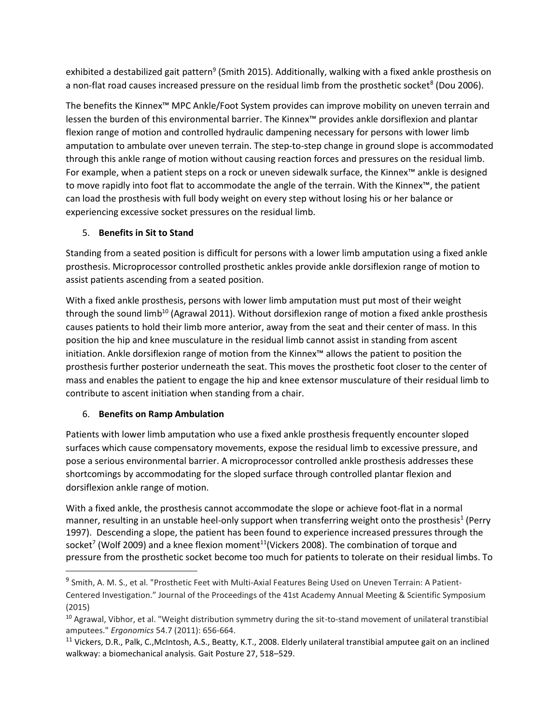exhibited a destabilized gait pattern<sup>9</sup> (Smith 2015). Additionally, walking with a fixed ankle prosthesis on a non-fla[t](#page-2-1) road causes increased pressure on the residual limb from the prosthetic socket<sup>8</sup> (Dou 2006).

The benefits the Kinnex™ MPC Ankle/Foot System provides can improve mobility on uneven terrain and lessen the burden of this environmental barrier. The Kinnex™ provides ankle dorsiflexion and plantar flexion range of motion and controlled hydraulic dampening necessary for persons with lower limb amputation to ambulate over uneven terrain. The step-to-step change in ground slope is accommodated through this ankle range of motion without causing reaction forces and pressures on the residual limb. For example, when a patient steps on a rock or uneven sidewalk surface, the Kinnex™ ankle is designed to move rapidly into foot flat to accommodate the angle of the terrain. With the Kinnex™, the patient can load the prosthesis with full body weight on every step without losing his or her balance or experiencing excessive socket pressures on the residual limb.

# 5. **Benefits in Sit to Stand**

Standing from a seated position is difficult for persons with a lower limb amputation using a fixed ankle prosthesis. Microprocessor controlled prosthetic ankles provide ankle dorsiflexion range of motion to assist patients ascending from a seated position.

With a fixed ankle prosthesis, persons with lower limb amputation must put most of their weight through the sound limb<sup>10</sup> (Agrawal 2011). Without dorsiflexion range of motion a fixed ankle prosthesis causes patients to hold their limb more anterior, away from the seat and their center of mass. In this position the hip and knee musculature in the residual limb cannot assist in standing from ascent initiation. Ankle dorsiflexion range of motion from the Kinnex™ allows the patient to position the prosthesis further posterior underneath the seat. This moves the prosthetic foot closer to the center of mass and enables the patient to engage the hip and knee extensor musculature of their residual limb to contribute to ascent initiation when standing from a chair.

# 6. **Benefits on Ramp Ambulation**

<span id="page-3-0"></span> $\overline{a}$ 

Patients with lower limb amputation who use a fixed ankle prosthesis frequently encounter sloped surfaces which cause compensatory movements, expose the residual limb to excessive pressure, and pose a serious environmental barrier. A microprocessor controlled ankle prosthesis addresses these shortcomings by accommodating for the sloped surface through controlled plantar flexion and dorsiflexion ankle range of motion.

With a fixed ankle, the prosthesis cannot accommodate the slope or achieve foot-flat in a normal manner, resulting in an unstable heel-only support when transferring weight onto the prosthesis<sup>1</sup> (Perry 1997). Descending a slope, the patient has been found to experience increased pressures through the socket<sup>[7](#page-2-0)</sup> (Wolf 2009) and a knee flexion moment<sup>11</sup>(Vickers 2008). The combination of torque and pressure from the prosthetic socket become too much for patients to tolerate on their residual limbs. To

<sup>&</sup>lt;sup>9</sup> Smith, A. M. S., et al. "Prosthetic Feet with Multi-Axial Features Being Used on Uneven Terrain: A Patient-Centered Investigation." Journal of the Proceedings of the 41st Academy Annual Meeting & Scientific Symposium (2015)

<sup>10</sup> Agrawal, Vibhor, et al. "Weight distribution symmetry during the sit-to-stand movement of unilateral transtibial amputees." *Ergonomics* 54.7 (2011): 656-664.

<sup>11</sup> Vickers, D.R., Palk, C.,McIntosh, A.S., Beatty, K.T., 2008. Elderly unilateral transtibial amputee gait on an inclined walkway: a biomechanical analysis. Gait Posture 27, 518–529.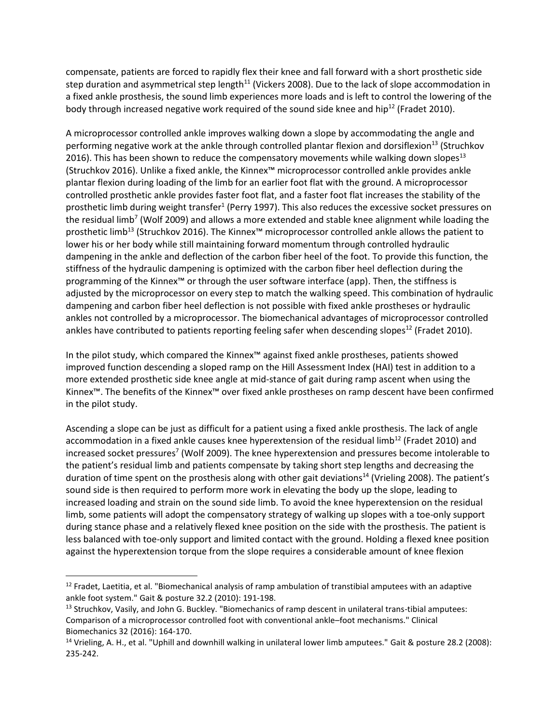compensate, patients are forced to rapidly flex their knee and fall forward with a short prosthetic side step duration and asymmetrical step length<sup>[11](#page-3-0)</sup> (Vickers 2008). Due to the lack of slope accommodation in a fixed ankle prosthesis, the sound limb experiences more loads and is left to control the lowering of the body through increased negative work required of the sound side knee and hip<sup>12</sup> (Fradet 2010).

<span id="page-4-1"></span><span id="page-4-0"></span>A microprocessor controlled ankle improves walking down a slope by accommodating the angle and performing negative work at the ankle through controlled plantar flexion and dorsiflexion<sup>[13](#page-4-0)</sup> (Struchkov 2016). This has been shown to reduce the compensatory movements while walking down slopes<sup>13</sup> (Struchkov 2016). Unlike a fixed ankle, the Kinnex™ microprocessor controlled ankle provides ankle plantar flexion during loading of the limb for an earlier foot flat with the ground. A microprocessor controlled prosthetic ankle provides faster foot flat, and a faster foot flat increases the stability of the prosthetic limb during weight transfer<sup>1</sup> (Perry 1997). This also reduces the excessive socket pressures on the residual limb<sup>[7](#page-2-0)</sup> (Wolf 2009) and allows a more extended and stable knee alignment while loading the prosthetic limb<sup>[13](#page-4-0)</sup> (Struchkov 2016). The Kinnex<sup>™</sup> microprocessor controlled ankle allows the patient to lower his or her body while still maintaining forward momentum through controlled hydraulic dampening in the ankle and deflection of the carbon fiber heel of the foot. To provide this function, the stiffness of the hydraulic dampening is optimized with the carbon fiber heel deflection during the programming of the Kinnex™ or through the user software interface (app). Then, the stiffness is adjusted by the microprocessor on every step to match the walking speed. This combination of hydraulic dampening and carbon fiber heel deflection is not possible with fixed ankle prostheses or hydraulic ankles not controlled by a microprocessor. The biomechanical advantages of microprocessor controlled ankles have contributed to patients reporting feeling safer when descending slopes<sup>[12](#page-4-1)</sup> (Fradet 2010).

In the pilot study, which compared the Kinnex™ against fixed ankle prostheses, patients showed improved function descending a sloped ramp on the Hill Assessment Index (HAI) test in addition to a more extended prosthetic side knee angle at mid-stance of gait during ramp ascent when using the Kinnex™. The benefits of the Kinnex™ over fixed ankle prostheses on ramp descent have been confirmed in the pilot study.

Ascending a slope can be just as difficult for a patient using a fixed ankle prosthesis. The lack of angle accommodation in a fixed ankle causes knee hyperextension of the residual limb<sup>[12](#page-4-1)</sup> (Fradet 2010) and increased socket pressures<sup>[7](#page-2-0)</sup> (Wolf 2009). The knee hyperextension and pressures become intolerable to the patient's residual limb and patients compensate by taking short step lengths and decreasing the duration of time spent on the prosthesis along with other gait deviations<sup>14</sup> (Vrieling 2008). The patient's sound side is then required to perform more work in elevating the body up the slope, leading to increased loading and strain on the sound side limb. To avoid the knee hyperextension on the residual limb, some patients will adopt the compensatory strategy of walking up slopes with a toe-only support during stance phase and a relatively flexed knee position on the side with the prosthesis. The patient is less balanced with toe-only support and limited contact with the ground. Holding a flexed knee position against the hyperextension torque from the slope requires a considerable amount of knee flexion

 $\overline{\phantom{a}}$ 

<sup>&</sup>lt;sup>12</sup> Fradet, Laetitia, et al. "Biomechanical analysis of ramp ambulation of transtibial amputees with an adaptive ankle foot system." Gait & posture 32.2 (2010): 191-198.

<sup>&</sup>lt;sup>13</sup> Struchkov, Vasily, and John G. Buckley. "Biomechanics of ramp descent in unilateral trans-tibial amputees: Comparison of a microprocessor controlled foot with conventional ankle–foot mechanisms." Clinical Biomechanics 32 (2016): 164-170.

<sup>&</sup>lt;sup>14</sup> Vrieling, A. H., et al. "Uphill and downhill walking in unilateral lower limb amputees." Gait & posture 28.2 (2008): 235-242.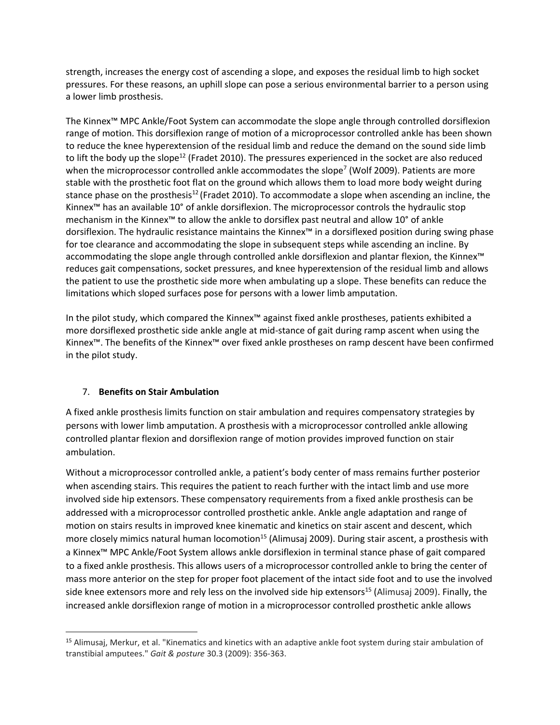strength, increases the energy cost of ascending a slope, and exposes the residual limb to high socket pressures. For these reasons, an uphill slope can pose a serious environmental barrier to a person using a lower limb prosthesis.

The Kinnex™ MPC Ankle/Foot System can accommodate the slope angle through controlled dorsiflexion range of motion. This dorsiflexion range of motion of a microprocessor controlled ankle has been shown to reduce the knee hyperextension of the residual limb and reduce the demand on the sound side limb to lift the body up the slope<sup>[12](#page-4-1)</sup> (Fradet 2010). The pressures experienced in the socket are also reduced when the microprocessor controlled ankle accommodates the slope<sup>7</sup> (Wolf 2009). Patients are more stable with the prosthetic foot flat on the ground which allows them to load more body weight during stance phase on the prosthesis<sup>[12](#page-4-1)</sup> (Fradet 2010). To accommodate a slope when ascending an incline, the Kinnex™ has an available 10° of ankle dorsiflexion. The microprocessor controls the hydraulic stop mechanism in the Kinnex™ to allow the ankle to dorsiflex past neutral and allow 10° of ankle dorsiflexion. The hydraulic resistance maintains the Kinnex™ in a dorsiflexed position during swing phase for toe clearance and accommodating the slope in subsequent steps while ascending an incline. By accommodating the slope angle through controlled ankle dorsiflexion and plantar flexion, the Kinnex™ reduces gait compensations, socket pressures, and knee hyperextension of the residual limb and allows the patient to use the prosthetic side more when ambulating up a slope. These benefits can reduce the limitations which sloped surfaces pose for persons with a lower limb amputation.

In the pilot study, which compared the Kinnex™ against fixed ankle prostheses, patients exhibited a more dorsiflexed prosthetic side ankle angle at mid-stance of gait during ramp ascent when using the Kinnex™. The benefits of the Kinnex™ over fixed ankle prostheses on ramp descent have been confirmed in the pilot study.

### 7. **Benefits on Stair Ambulation**

l

A fixed ankle prosthesis limits function on stair ambulation and requires compensatory strategies by persons with lower limb amputation. A prosthesis with a microprocessor controlled ankle allowing controlled plantar flexion and dorsiflexion range of motion provides improved function on stair ambulation.

<span id="page-5-0"></span>Without a microprocessor controlled ankle, a patient's body center of mass remains further posterior when ascending stairs. This requires the patient to reach further with the intact limb and use more involved side hip extensors. These compensatory requirements from a fixed ankle prosthesis can be addressed with a microprocessor controlled prosthetic ankle. Ankle angle adaptation and range of motion on stairs results in improved knee kinematic and kinetics on stair ascent and descent, which more closely mimics natural human locomotion<sup>15</sup> (Alimusaj 2009). During stair ascent, a prosthesis with a Kinnex™ MPC Ankle/Foot System allows ankle dorsiflexion in terminal stance phase of gait compared to a fixed ankle prosthesis. This allows users of a microprocessor controlled ankle to bring the center of mass more anterior on the step for proper foot placement of the intact side foot and to use the involved side knee extensors more and rely less on the involved side hip extensors<sup>[15](#page-5-0)</sup> (Alimusaj 2009). Finally, the increased ankle dorsiflexion range of motion in a microprocessor controlled prosthetic ankle allows

<sup>&</sup>lt;sup>15</sup> Alimusaj, Merkur, et al. "Kinematics and kinetics with an adaptive ankle foot system during stair ambulation of transtibial amputees." *Gait & posture* 30.3 (2009): 356-363.